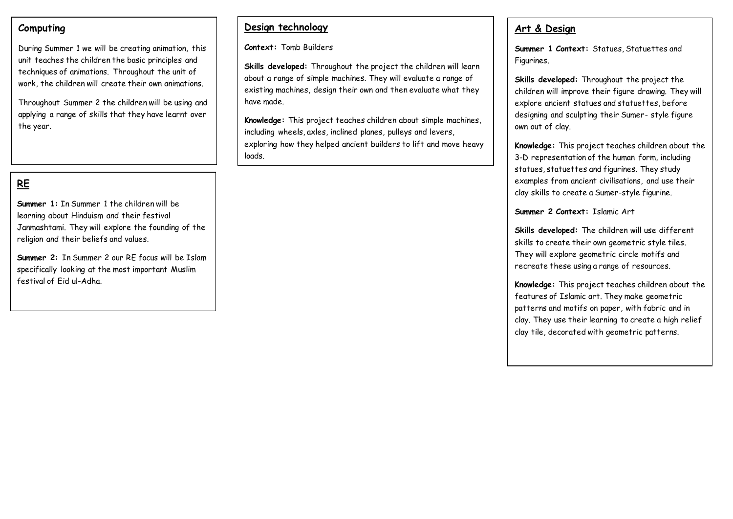#### **Computing**

During Summer 1 we will be creating animation, this unit teaches the children the basic principles and techniques of animations. Throughout the unit of work, the children will create their own animations.

Throughout Summer 2 the children will be using and applying a range of skills that they have learnt over the year.

## **RE**

**Summer 1:** In Summer 1 the children will be learning about Hinduism and their festival Janmashtami. They will explore the founding of the religion and their beliefs and values.

**Summer 2:** In Summer 2 our RE focus will be Islam specifically looking at the most important Muslim festival of Eid ul-Adha.

#### **Design technology**

**Context:** Tomb Builders

**Skills developed:** Throughout the project the children will learn about a range of simple machines. They will evaluate a range of existing machines, design their own and then evaluate what they have made.

**Knowledge:** This project teaches children about simple machines, including wheels, axles, inclined planes, pulleys and levers, exploring how they helped ancient builders to lift and move heavy loads.

#### **Art & Design**

**Summer 1 Context:** Statues, Statuettes and Figurines.

**Skills developed:** Throughout the project the children will improve their figure drawing. They will explore ancient statues and statuettes, before designing and sculpting their Sumer- style figure own out of clay.

**Knowledge:** This project teaches children about the 3-D representation of the human form, including statues, statuettes and figurines. They study examples from ancient civilisations, and use their clay skills to create a Sumer-style figurine.

**Summer 2 Context:** Islamic Art

**Skills developed:** The children will use different skills to create their own geometric style tiles. They will explore geometric circle motifs and recreate these using a range of resources.

**Knowledge:** This project teaches children about the features of Islamic art. They make geometric patterns and motifs on paper, with fabric and in clay. They use their learning to create a high relief clay tile, decorated with geometric patterns.